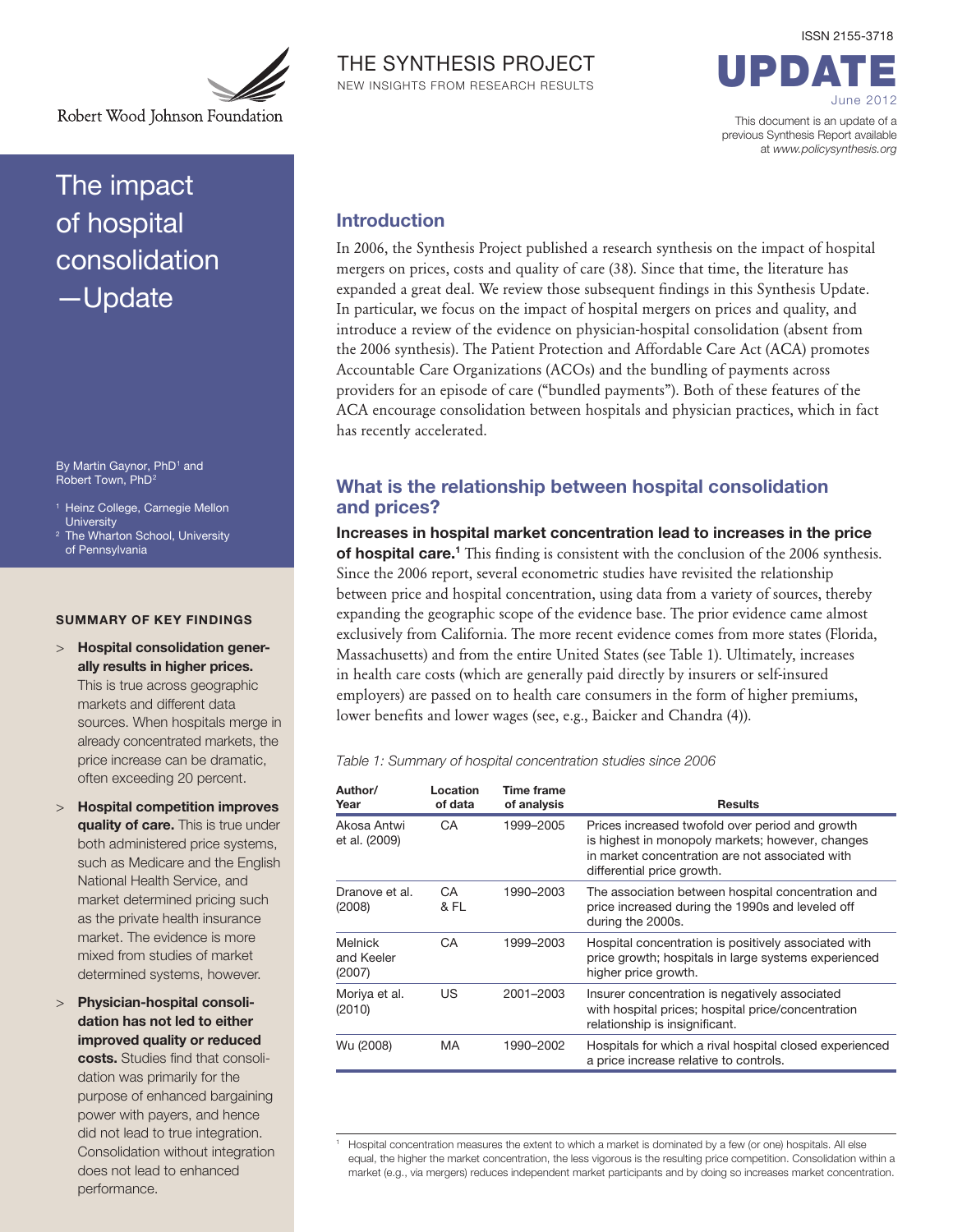

Robert Wood Johnson Foundation

# The impact of hospital consolidation —Update

By Martin Gaynor, PhD<sup>1</sup> and Robert Town, PhD2

- <sup>1</sup> Heinz College, Carnegie Mellon **University**
- <sup>2</sup> The Wharton School, University of Pennsylvania

#### SUMMARY OF KEY FINDINGS

- > Hospital consolidation generally results in higher prices. This is true across geographic markets and different data sources. When hospitals merge in already concentrated markets, the price increase can be dramatic, often exceeding 20 percent.
- > Hospital competition improves quality of care. This is true under both administered price systems, such as Medicare and the English National Health Service, and market determined pricing such as the private health insurance market. The evidence is more mixed from studies of market determined systems, however.
- > Physician-hospital consolidation has not led to either improved quality or reduced costs. Studies find that consolidation was primarily for the purpose of enhanced bargaining power with payers, and hence did not lead to true integration. Consolidation without integration does not lead to enhanced performance.



UPDATE June 2012

ISSN 2155-3718

This document is an update of a previous Synthesis Report available at www.policysynthesis.org

## Introduction

In 2006, the Synthesis Project published a research synthesis on the impact of hospital mergers on prices, costs and quality of care (38). Since that time, the literature has expanded a great deal. We review those subsequent findings in this Synthesis Update. In particular, we focus on the impact of hospital mergers on prices and quality, and introduce a review of the evidence on physician-hospital consolidation (absent from the 2006 synthesis). The Patient Protection and Affordable Care Act (ACA) promotes Accountable Care Organizations (ACOs) and the bundling of payments across providers for an episode of care ("bundled payments"). Both of these features of the ACA encourage consolidation between hospitals and physician practices, which in fact has recently accelerated.

## What is the relationship between hospital consolidation and prices?

Increases in hospital market concentration lead to increases in the price of hospital care.<sup>1</sup> This finding is consistent with the conclusion of the 2006 synthesis. Since the 2006 report, several econometric studies have revisited the relationship between price and hospital concentration, using data from a variety of sources, thereby expanding the geographic scope of the evidence base. The prior evidence came almost exclusively from California. The more recent evidence comes from more states (Florida, Massachusetts) and from the entire United States (see Table 1). Ultimately, increases in health care costs (which are generally paid directly by insurers or self-insured employers) are passed on to health care consumers in the form of higher premiums, lower benefits and lower wages (see, e.g., Baicker and Chandra (4)).

Table 1: Summary of hospital concentration studies since 2006

| Author/<br>Year                 | Location<br>of data | <b>Time frame</b><br>of analysis | <b>Results</b>                                                                                                                                                                       |
|---------------------------------|---------------------|----------------------------------|--------------------------------------------------------------------------------------------------------------------------------------------------------------------------------------|
| Akosa Antwi<br>et al. (2009)    | CA.                 | 1999-2005                        | Prices increased twofold over period and growth<br>is highest in monopoly markets; however, changes<br>in market concentration are not associated with<br>differential price growth. |
| Dranove et al.<br>(2008)        | CA.<br>& FL         | 1990-2003                        | The association between hospital concentration and<br>price increased during the 1990s and leveled off<br>during the 2000s.                                                          |
| Melnick<br>and Keeler<br>(2007) | CA.                 | 1999-2003                        | Hospital concentration is positively associated with<br>price growth; hospitals in large systems experienced<br>higher price growth.                                                 |
| Moriya et al.<br>(2010)         | US                  | 2001-2003                        | Insurer concentration is negatively associated<br>with hospital prices; hospital price/concentration<br>relationship is insignificant.                                               |
| Wu (2008)                       | <b>MA</b>           | 1990-2002                        | Hospitals for which a rival hospital closed experienced<br>a price increase relative to controls.                                                                                    |

<sup>1</sup> Hospital concentration measures the extent to which a market is dominated by a few (or one) hospitals. All else equal, the higher the market concentration, the less vigorous is the resulting price competition. Consolidation within a market (e.g., via mergers) reduces independent market participants and by doing so increases market concentration.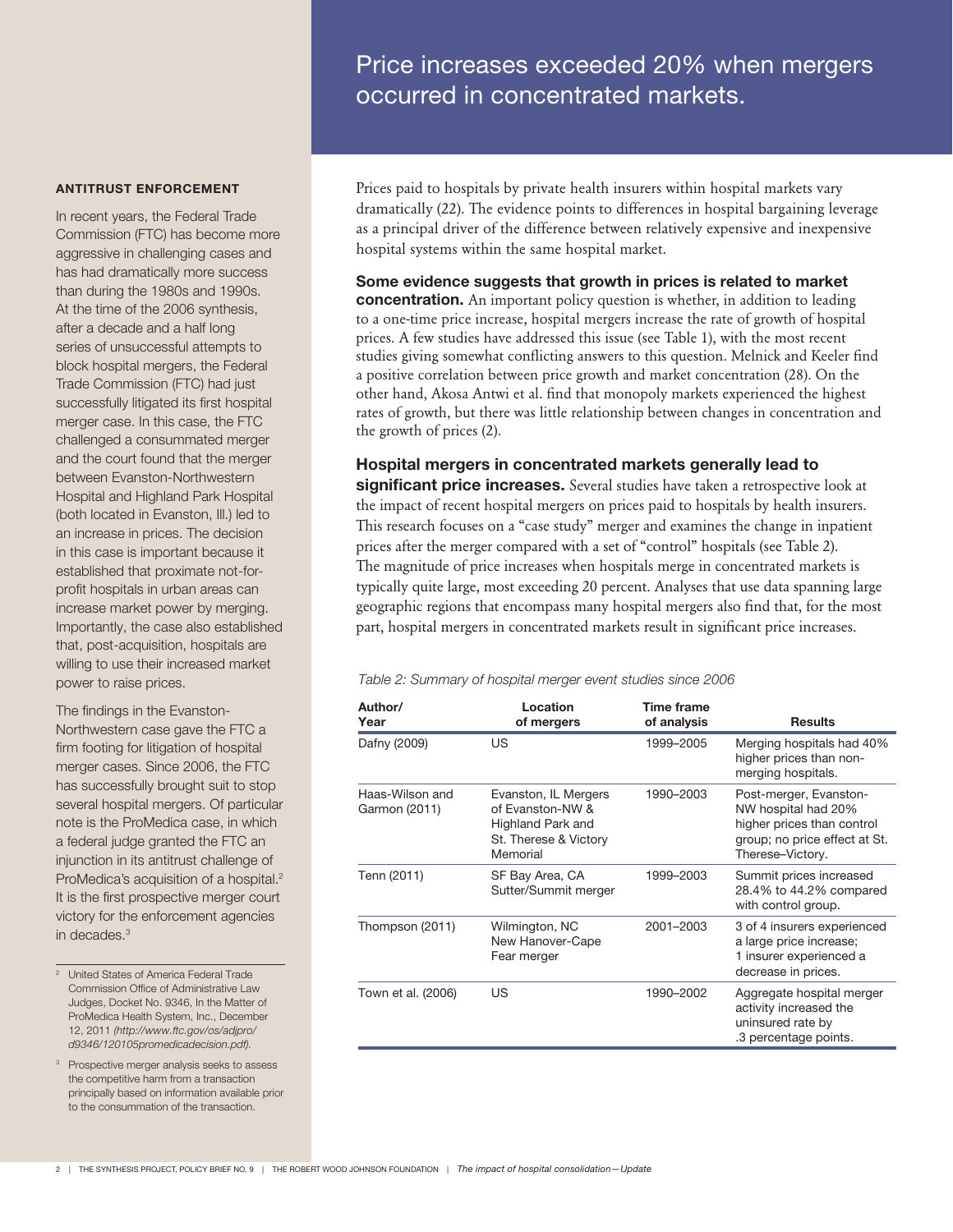# Price increases exceeded 20% when mergers occurred in concentrated markets.

#### ANTITRUST ENFORCEMENT

In recent years, the Federal Trade Commission (FTC) has become more aggressive in challenging cases and has had dramatically more success than during the 1980s and 1990s. At the time of the 2006 synthesis, after a decade and a half long series of unsuccessful attempts to block hospital mergers, the Federal Trade Commission (FTC) had just successfully litigated its first hospital merger case. In this case, the FTC challenged a consummated merger and the court found that the merger between Evanston-Northwestern Hospital and Highland Park Hospital (both located in Evanston, Ill.) led to an increase in prices. The decision in this case is important because it established that proximate not-forprofit hospitals in urban areas can increase market power by merging. Importantly, the case also established that, post-acquisition, hospitals are willing to use their increased market power to raise prices.

The findings in the Evanston-Northwestern case gave the FTC a firm footing for litigation of hospital merger cases. Since 2006, the FTC has successfully brought suit to stop several hospital mergers. Of particular note is the ProMedica case, in which a federal judge granted the FTC an injunction in its antitrust challenge of ProMedica's acquisition of a hospital.<sup>2</sup> It is the first prospective merger court victory for the enforcement agencies in decades.3

- <sup>2</sup> United States of America Federal Trade Commission Office of Administrative Law Judges, Docket No. 9346, In the Matter of ProMedica Health System, Inc., December 12, 2011 (http://www.ftc.gov/os/adjpro/ d9346/120105promedicadecision.pdf).
- <sup>3</sup> Prospective merger analysis seeks to assess the competitive harm from a transaction principally based on information available prior to the consummation of the transaction.

Prices paid to hospitals by private health insurers within hospital markets vary dramatically (22). The evidence points to differences in hospital bargaining leverage as a principal driver of the difference between relatively expensive and inexpensive hospital systems within the same hospital market.

## Some evidence suggests that growth in prices is related to market

concentration. An important policy question is whether, in addition to leading to a one-time price increase, hospital mergers increase the rate of growth of hospital prices. A few studies have addressed this issue (see Table 1), with the most recent studies giving somewhat conflicting answers to this question. Melnick and Keeler find a positive correlation between price growth and market concentration (28). On the other hand, Akosa Antwi et al. find that monopoly markets experienced the highest rates of growth, but there was little relationship between changes in concentration and the growth of prices (2).

Hospital mergers in concentrated markets generally lead to significant price increases. Several studies have taken a retrospective look at the impact of recent hospital mergers on prices paid to hospitals by health insurers. This research focuses on a "case study" merger and examines the change in inpatient prices after the merger compared with a set of "control" hospitals (see Table 2). The magnitude of price increases when hospitals merge in concentrated markets is typically quite large, most exceeding 20 percent. Analyses that use data spanning large geographic regions that encompass many hospital mergers also find that, for the most part, hospital mergers in concentrated markets result in significant price increases.

#### Table 2: Summary of hospital merger event studies since 2006

| Author/<br>Year                  | Location<br>of mergers                                                                             | Time frame<br>of analysis | <b>Results</b>                                                                                                                   |
|----------------------------------|----------------------------------------------------------------------------------------------------|---------------------------|----------------------------------------------------------------------------------------------------------------------------------|
| Dafny (2009)                     | US                                                                                                 | 1999-2005                 | Merging hospitals had 40%<br>higher prices than non-<br>merging hospitals.                                                       |
| Haas-Wilson and<br>Garmon (2011) | Evanston, IL Mergers<br>of Evanston-NW &<br>Highland Park and<br>St. Therese & Victory<br>Memorial | 1990-2003                 | Post-merger, Evanston-<br>NW hospital had 20%<br>higher prices than control<br>group; no price effect at St.<br>Therese-Victory. |
| Tenn (2011)                      | SF Bay Area, CA<br>Sutter/Summit merger                                                            | 1999-2003                 | Summit prices increased<br>28.4% to 44.2% compared<br>with control group.                                                        |
| Thompson (2011)                  | Wilmington, NC<br>New Hanover-Cape<br>Fear merger                                                  | 2001-2003                 | 3 of 4 insurers experienced<br>a large price increase;<br>1 insurer experienced a<br>decrease in prices.                         |
| Town et al. (2006)               | US                                                                                                 | 1990-2002                 | Aggregate hospital merger<br>activity increased the<br>uninsured rate by<br>.3 percentage points.                                |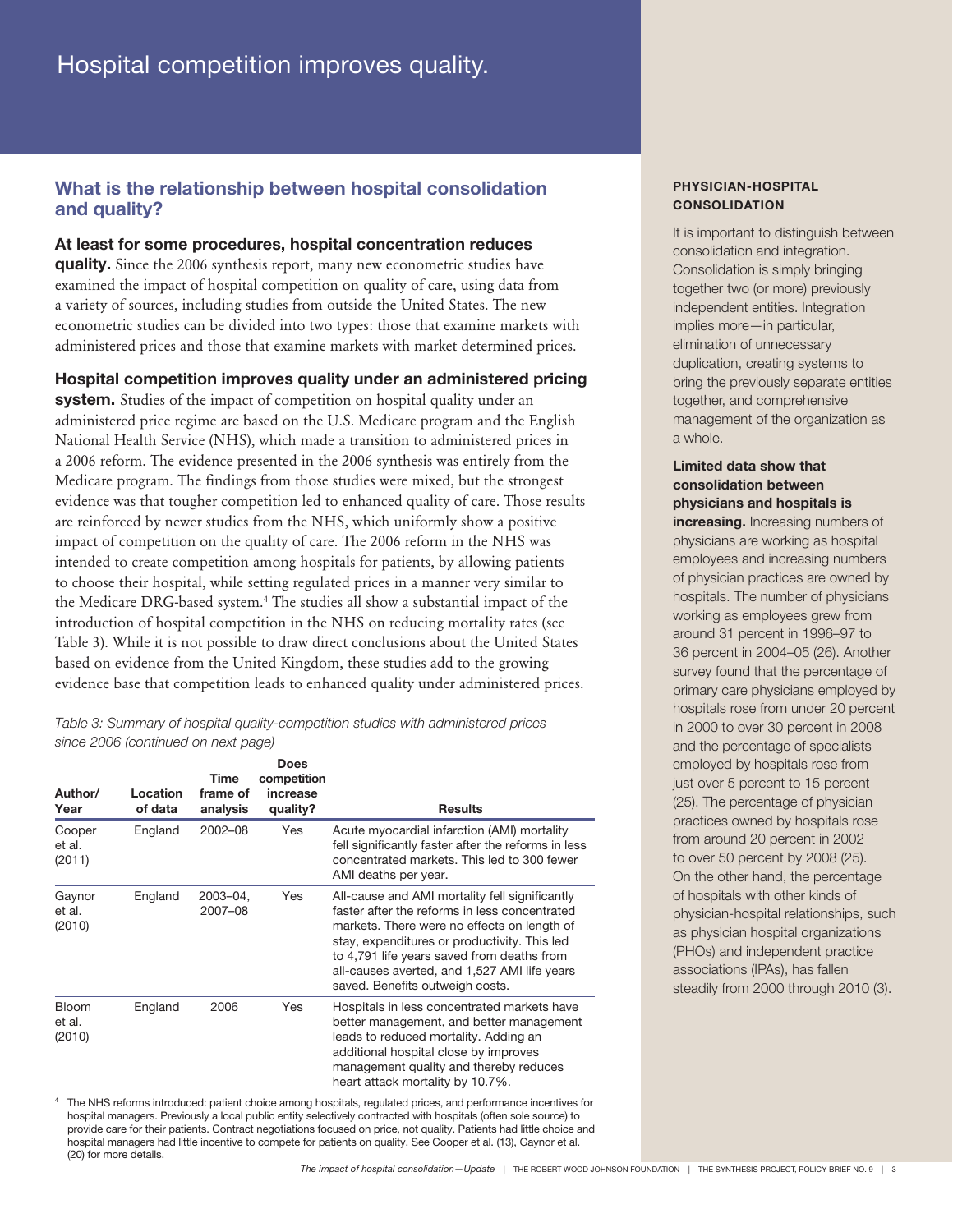## What is the relationship between hospital consolidation and quality?

### At least for some procedures, hospital concentration reduces

quality. Since the 2006 synthesis report, many new econometric studies have examined the impact of hospital competition on quality of care, using data from a variety of sources, including studies from outside the United States. The new econometric studies can be divided into two types: those that examine markets with administered prices and those that examine markets with market determined prices.

Hospital competition improves quality under an administered pricing

system. Studies of the impact of competition on hospital quality under an administered price regime are based on the U.S. Medicare program and the English National Health Service (NHS), which made a transition to administered prices in a 2006 reform. The evidence presented in the 2006 synthesis was entirely from the Medicare program. The findings from those studies were mixed, but the strongest evidence was that tougher competition led to enhanced quality of care. Those results are reinforced by newer studies from the NHS, which uniformly show a positive impact of competition on the quality of care. The 2006 reform in the NHS was intended to create competition among hospitals for patients, by allowing patients to choose their hospital, while setting regulated prices in a manner very similar to the Medicare DRG-based system.<sup>4</sup> The studies all show a substantial impact of the introduction of hospital competition in the NHS on reducing mortality rates (see Table 3). While it is not possible to draw direct conclusions about the United States based on evidence from the United Kingdom, these studies add to the growing evidence base that competition leads to enhanced quality under administered prices.

Table 3: Summary of hospital quality-competition studies with administered prices since 2006 (continued on next page)

| Author/<br>Year                  | Location<br>of data | Time<br>frame of<br>analysis | <b>Does</b><br>competition<br>increase<br>quality? | <b>Results</b>                                                                                                                                                                                                                                                                                                                  |
|----------------------------------|---------------------|------------------------------|----------------------------------------------------|---------------------------------------------------------------------------------------------------------------------------------------------------------------------------------------------------------------------------------------------------------------------------------------------------------------------------------|
| Cooper<br>et al.<br>(2011)       | England             | $2002 - 08$                  | Yes                                                | Acute myocardial infarction (AMI) mortality<br>fell significantly faster after the reforms in less<br>concentrated markets. This led to 300 fewer<br>AMI deaths per year.                                                                                                                                                       |
| Gaynor<br>et al.<br>(2010)       | England             | 2003-04.<br>2007-08          | Yes                                                | All-cause and AMI mortality fell significantly<br>faster after the reforms in less concentrated<br>markets. There were no effects on length of<br>stay, expenditures or productivity. This led<br>to 4,791 life years saved from deaths from<br>all-causes averted, and 1,527 AMI life years<br>saved. Benefits outweigh costs. |
| <b>Bloom</b><br>et al.<br>(2010) | England             | 2006                         | Yes                                                | Hospitals in less concentrated markets have<br>better management, and better management<br>leads to reduced mortality. Adding an<br>additional hospital close by improves<br>management quality and thereby reduces<br>heart attack mortality by 10.7%.                                                                         |

<sup>4</sup> The NHS reforms introduced: patient choice among hospitals, regulated prices, and performance incentives for hospital managers. Previously a local public entity selectively contracted with hospitals (often sole source) to provide care for their patients. Contract negotiations focused on price, not quality. Patients had little choice and hospital managers had little incentive to compete for patients on quality. See Cooper et al. (13), Gaynor et al. (20) for more details.

#### PHYSICIAN-HOSPITAL **CONSOLIDATION**

It is important to distinguish between consolidation and integration. Consolidation is simply bringing together two (or more) previously independent entities. Integration implies more—in particular, elimination of unnecessary duplication, creating systems to bring the previously separate entities together, and comprehensive management of the organization as a whole.

### Limited data show that consolidation between physicians and hospitals is

increasing. Increasing numbers of physicians are working as hospital employees and increasing numbers of physician practices are owned by hospitals. The number of physicians working as employees grew from around 31 percent in 1996–97 to 36 percent in 2004–05 (26). Another survey found that the percentage of primary care physicians employed by hospitals rose from under 20 percent in 2000 to over 30 percent in 2008 and the percentage of specialists employed by hospitals rose from just over 5 percent to 15 percent (25). The percentage of physician practices owned by hospitals rose from around 20 percent in 2002 to over 50 percent by 2008 (25). On the other hand, the percentage of hospitals with other kinds of physician-hospital relationships, such as physician hospital organizations (PHOs) and independent practice associations (IPAs), has fallen steadily from 2000 through 2010 (3).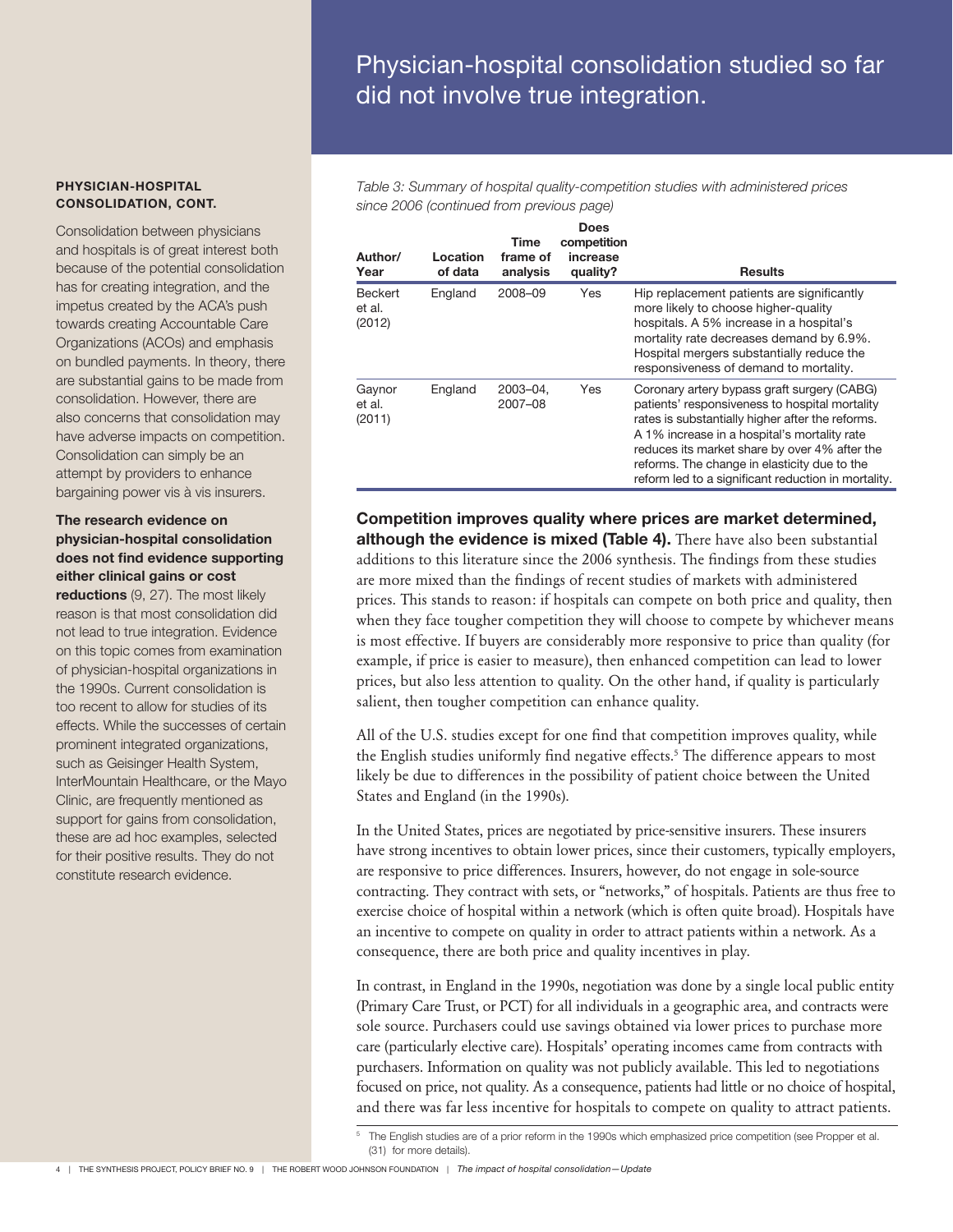# Physician-hospital consolidation studied so far did not involve true integration.

Table 3: Summary of hospital quality-competition studies with administered prices since 2006 (continued from previous page)

| Author/<br>Year                    | Location<br>of data | Time<br>frame of<br>analysis | Does<br>competition<br>increase<br>quality? | <b>Results</b>                                                                                                                                                                                                                                                                                                                                            |
|------------------------------------|---------------------|------------------------------|---------------------------------------------|-----------------------------------------------------------------------------------------------------------------------------------------------------------------------------------------------------------------------------------------------------------------------------------------------------------------------------------------------------------|
| <b>Beckert</b><br>et al.<br>(2012) | England             | 2008-09                      | Yes                                         | Hip replacement patients are significantly<br>more likely to choose higher-quality<br>hospitals. A 5% increase in a hospital's<br>mortality rate decreases demand by 6.9%.<br>Hospital mergers substantially reduce the<br>responsiveness of demand to mortality.                                                                                         |
| Gaynor<br>et al.<br>(2011)         | England             | 2003-04,<br>2007-08          | Yes                                         | Coronary artery bypass graft surgery (CABG)<br>patients' responsiveness to hospital mortality<br>rates is substantially higher after the reforms.<br>A 1% increase in a hospital's mortality rate<br>reduces its market share by over 4% after the<br>reforms. The change in elasticity due to the<br>reform led to a significant reduction in mortality. |

Competition improves quality where prices are market determined, although the evidence is mixed (Table 4). There have also been substantial additions to this literature since the 2006 synthesis. The findings from these studies are more mixed than the findings of recent studies of markets with administered prices. This stands to reason: if hospitals can compete on both price and quality, then when they face tougher competition they will choose to compete by whichever means is most effective. If buyers are considerably more responsive to price than quality (for example, if price is easier to measure), then enhanced competition can lead to lower prices, but also less attention to quality. On the other hand, if quality is particularly salient, then tougher competition can enhance quality.

All of the U.S. studies except for one find that competition improves quality, while the English studies uniformly find negative effects.<sup>5</sup> The difference appears to most likely be due to differences in the possibility of patient choice between the United States and England (in the 1990s).

In the United States, prices are negotiated by price-sensitive insurers. These insurers have strong incentives to obtain lower prices, since their customers, typically employers, are responsive to price differences. Insurers, however, do not engage in sole-source contracting. They contract with sets, or "networks," of hospitals. Patients are thus free to exercise choice of hospital within a network (which is often quite broad). Hospitals have an incentive to compete on quality in order to attract patients within a network. As a consequence, there are both price and quality incentives in play.

In contrast, in England in the 1990s, negotiation was done by a single local public entity (Primary Care Trust, or PCT) for all individuals in a geographic area, and contracts were sole source. Purchasers could use savings obtained via lower prices to purchase more care (particularly elective care). Hospitals' operating incomes came from contracts with purchasers. Information on quality was not publicly available. This led to negotiations focused on price, not quality. As a consequence, patients had little or no choice of hospital, and there was far less incentive for hospitals to compete on quality to attract patients.

PHYSICIAN-HOSPITAL CONSOLIDATION, CONT.

Consolidation between physicians and hospitals is of great interest both because of the potential consolidation has for creating integration, and the impetus created by the ACA's push towards creating Accountable Care Organizations (ACOs) and emphasis on bundled payments. In theory, there are substantial gains to be made from consolidation. However, there are also concerns that consolidation may have adverse impacts on competition. Consolidation can simply be an attempt by providers to enhance bargaining power vis à vis insurers.

#### The research evidence on physician-hospital consolidation does not find evidence supporting either clinical gains or cost

reductions (9, 27). The most likely reason is that most consolidation did not lead to true integration. Evidence on this topic comes from examination of physician-hospital organizations in the 1990s. Current consolidation is too recent to allow for studies of its effects. While the successes of certain prominent integrated organizations, such as Geisinger Health System, InterMountain Healthcare, or the Mayo Clinic, are frequently mentioned as support for gains from consolidation, these are ad hoc examples, selected for their positive results. They do not constitute research evidence.

<sup>5</sup> The English studies are of a prior reform in the 1990s which emphasized price competition (see Propper et al. (31) for more details).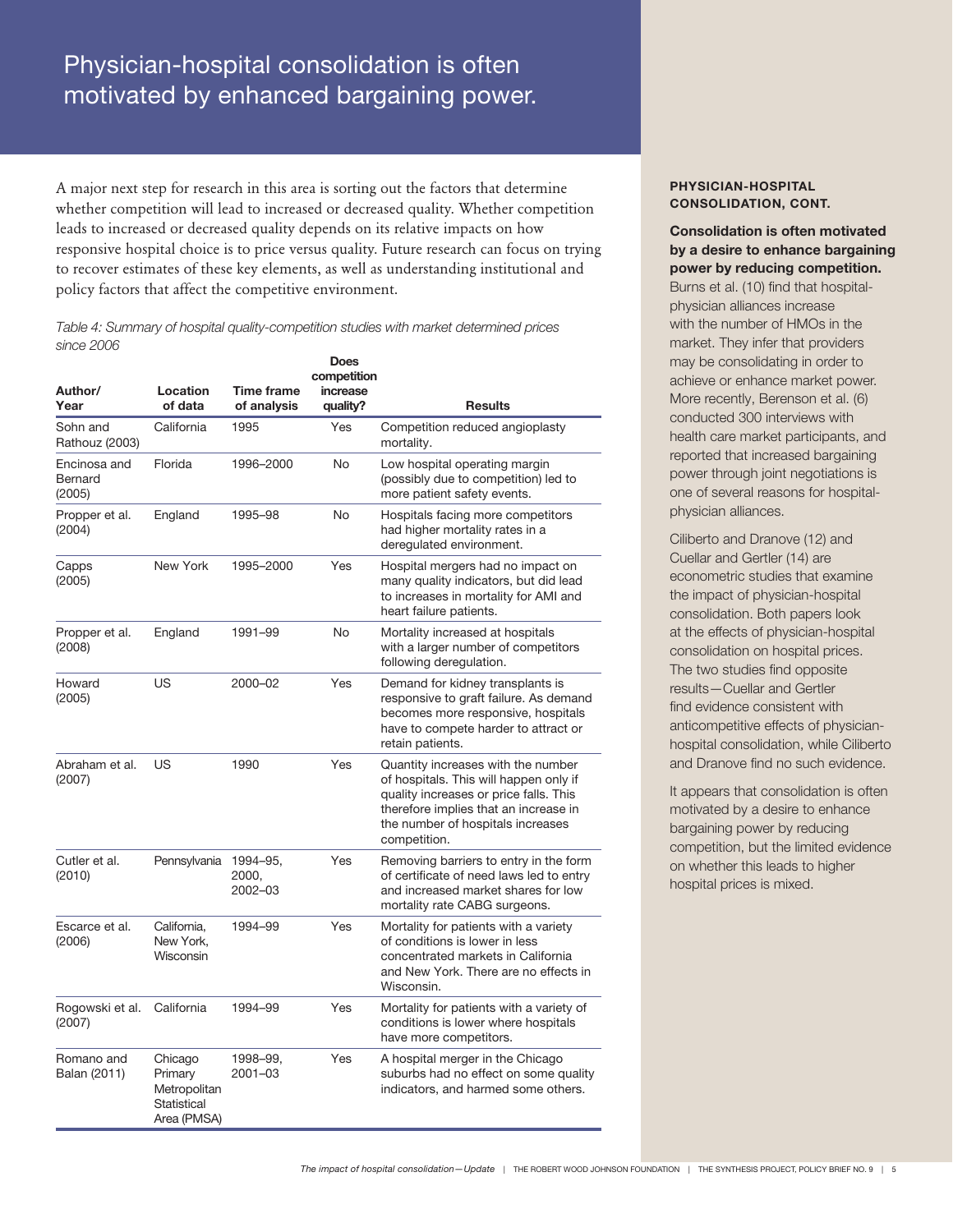# Physician-hospital consolidation is often motivated by enhanced bargaining power.

A major next step for research in this area is sorting out the factors that determine whether competition will lead to increased or decreased quality. Whether competition leads to increased or decreased quality depends on its relative impacts on how responsive hospital choice is to price versus quality. Future research can focus on trying to recover estimates of these key elements, as well as understanding institutional and policy factors that affect the competitive environment.

Table 4: Summary of hospital quality-competition studies with market determined prices since 2006

| Author/                           | Location                                                         | <b>Time frame</b>            | Does<br>competition<br>increase |                                                                                                                                                                                                                      |
|-----------------------------------|------------------------------------------------------------------|------------------------------|---------------------------------|----------------------------------------------------------------------------------------------------------------------------------------------------------------------------------------------------------------------|
| Year                              | of data                                                          | of analysis                  | quality?                        | <b>Results</b>                                                                                                                                                                                                       |
| Sohn and<br>Rathouz (2003)        | California                                                       | 1995                         | Yes                             | Competition reduced angioplasty<br>mortality.                                                                                                                                                                        |
| Encinosa and<br>Bernard<br>(2005) | Florida                                                          | 1996-2000                    | No                              | Low hospital operating margin<br>(possibly due to competition) led to<br>more patient safety events.                                                                                                                 |
| Propper et al.<br>(2004)          | England                                                          | 1995-98                      | No                              | Hospitals facing more competitors<br>had higher mortality rates in a<br>deregulated environment.                                                                                                                     |
| Capps<br>(2005)                   | New York                                                         | 1995-2000                    | Yes                             | Hospital mergers had no impact on<br>many quality indicators, but did lead<br>to increases in mortality for AMI and<br>heart failure patients.                                                                       |
| Propper et al.<br>(2008)          | England                                                          | 1991-99                      | No                              | Mortality increased at hospitals<br>with a larger number of competitors<br>following deregulation.                                                                                                                   |
| Howard<br>(2005)                  | US                                                               | 2000-02                      | Yes                             | Demand for kidney transplants is<br>responsive to graft failure. As demand<br>becomes more responsive, hospitals<br>have to compete harder to attract or<br>retain patients.                                         |
| Abraham et al.<br>(2007)          | US                                                               | 1990                         | Yes                             | Quantity increases with the number<br>of hospitals. This will happen only if<br>quality increases or price falls. This<br>therefore implies that an increase in<br>the number of hospitals increases<br>competition. |
| Cutler et al.<br>(2010)           | Pennsylvania                                                     | 1994-95,<br>2000,<br>2002-03 | Yes                             | Removing barriers to entry in the form<br>of certificate of need laws led to entry<br>and increased market shares for low<br>mortality rate CABG surgeons.                                                           |
| Escarce et al.<br>(2006)          | California,<br>New York.<br>Wisconsin                            | 1994-99                      | Yes                             | Mortality for patients with a variety<br>of conditions is lower in less<br>concentrated markets in California<br>and New York. There are no effects in<br>Wisconsin.                                                 |
| Rogowski et al.<br>(2007)         | California                                                       | 1994-99                      | Yes                             | Mortality for patients with a variety of<br>conditions is lower where hospitals<br>have more competitors.                                                                                                            |
| Romano and<br>Balan (2011)        | Chicago<br>Primary<br>Metropolitan<br>Statistical<br>Area (PMSA) | 1998-99,<br>2001-03          | Yes                             | A hospital merger in the Chicago<br>suburbs had no effect on some quality<br>indicators, and harmed some others.                                                                                                     |

#### PHYSICIAN-HOSPITAL CONSOLIDATION, CONT.

Consolidation is often motivated by a desire to enhance bargaining power by reducing competition.

Burns et al. (10) find that hospitalphysician alliances increase with the number of HMOs in the market. They infer that providers may be consolidating in order to achieve or enhance market power. More recently, Berenson et al. (6) conducted 300 interviews with health care market participants, and reported that increased bargaining power through joint negotiations is one of several reasons for hospitalphysician alliances.

Ciliberto and Dranove (12) and Cuellar and Gertler (14) are econometric studies that examine the impact of physician-hospital consolidation. Both papers look at the effects of physician-hospital consolidation on hospital prices. The two studies find opposite results—Cuellar and Gertler find evidence consistent with anticompetitive effects of physicianhospital consolidation, while Ciliberto and Dranove find no such evidence.

It appears that consolidation is often motivated by a desire to enhance bargaining power by reducing competition, but the limited evidence on whether this leads to higher hospital prices is mixed.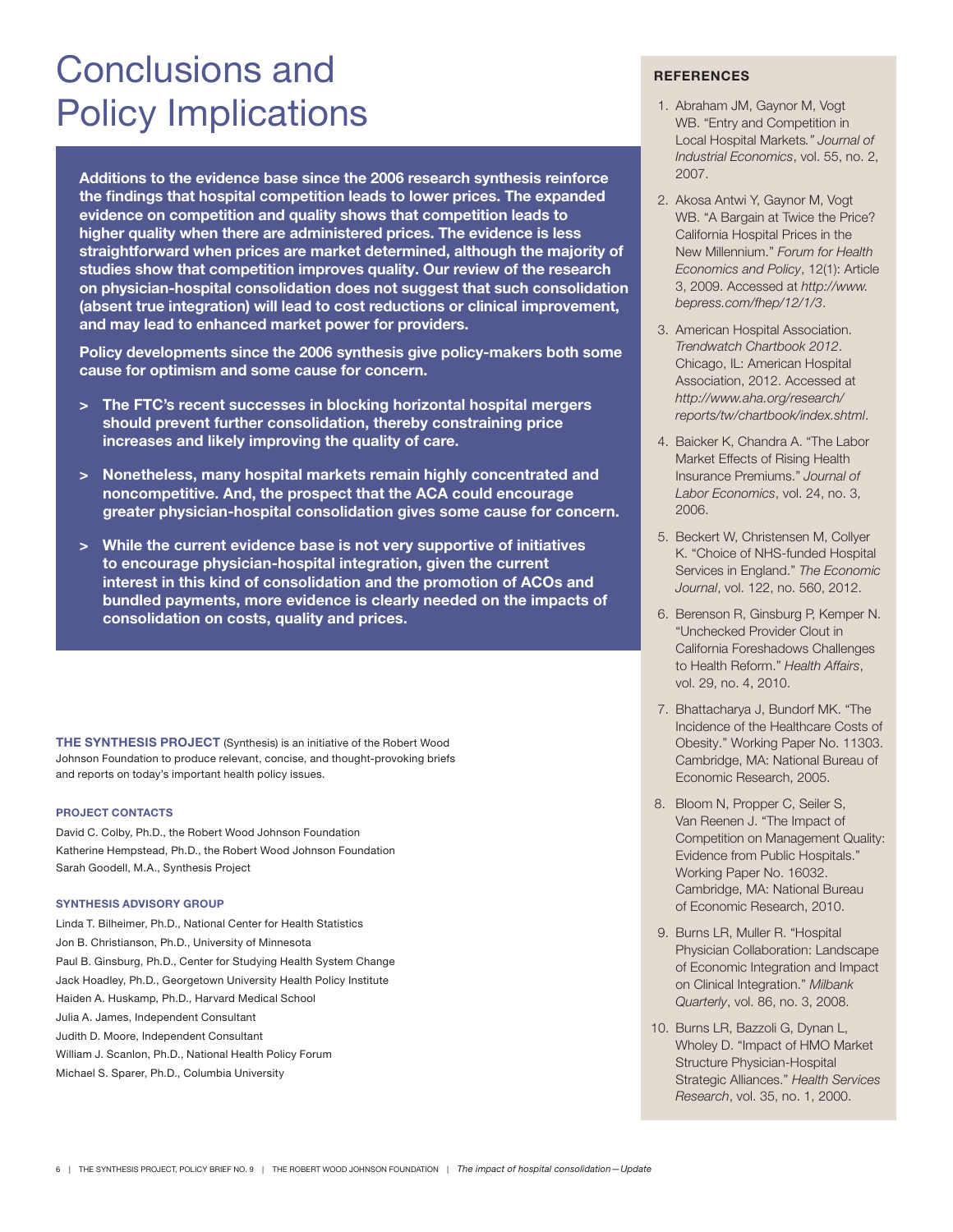# Conclusions and Policy Implications

Additions to the evidence base since the 2006 research synthesis reinforce the findings that hospital competition leads to lower prices. The expanded evidence on competition and quality shows that competition leads to higher quality when there are administered prices. The evidence is less straightforward when prices are market determined, although the majority of studies show that competition improves quality. Our review of the research on physician-hospital consolidation does not suggest that such consolidation (absent true integration) will lead to cost reductions or clinical improvement, and may lead to enhanced market power for providers.

Policy developments since the 2006 synthesis give policy-makers both some cause for optimism and some cause for concern.

- > The FTC's recent successes in blocking horizontal hospital mergers should prevent further consolidation, thereby constraining price increases and likely improving the quality of care.
- > Nonetheless, many hospital markets remain highly concentrated and noncompetitive. And, the prospect that the ACA could encourage greater physician-hospital consolidation gives some cause for concern.
- > While the current evidence base is not very supportive of initiatives to encourage physician-hospital integration, given the current interest in this kind of consolidation and the promotion of ACOs and bundled payments, more evidence is clearly needed on the impacts of consolidation on costs, quality and prices.

THE SYNTHESIS PROJECT (Synthesis) is an initiative of the Robert Wood Johnson Foundation to produce relevant, concise, and thought-provoking briefs and reports on today's important health policy issues.

#### PROJECT CONTACTS

David C. Colby, Ph.D., the Robert Wood Johnson Foundation Katherine Hempstead, Ph.D., the Robert Wood Johnson Foundation Sarah Goodell, M.A., Synthesis Project

#### SYNTHESIS ADVISORY GROUP

Linda T. Bilheimer, Ph.D., National Center for Health Statistics Jon B. Christianson, Ph.D., University of Minnesota Paul B. Ginsburg, Ph.D., Center for Studying Health System Change Jack Hoadley, Ph.D., Georgetown University Health Policy Institute Haiden A. Huskamp, Ph.D., Harvard Medical School Julia A. James, Independent Consultant Judith D. Moore, Independent Consultant William J. Scanlon, Ph.D., National Health Policy Forum Michael S. Sparer, Ph.D., Columbia University

#### **REFERENCES**

- 1. Abraham JM, Gaynor M, Vogt WB. "Entry and Competition in Local Hospital Markets." Journal of Industrial Economics, vol. 55, no. 2, 2007.
- 2. Akosa Antwi Y, Gaynor M, Vogt WB. "A Bargain at Twice the Price? California Hospital Prices in the New Millennium." Forum for Health Economics and Policy, 12(1): Article 3, 2009. Accessed at http://www. bepress.com/fhep/12/1/3.
- 3. American Hospital Association. Trendwatch Chartbook 2012. Chicago, IL: American Hospital Association, 2012. Accessed at http://www.aha.org/research/ reports/tw/chartbook/index.shtml.
- 4. Baicker K, Chandra A. "The Labor Market Effects of Rising Health Insurance Premiums." Journal of Labor Economics, vol. 24, no. 3, 2006.
- 5. Beckert W, Christensen M, Collyer K. "Choice of NHS-funded Hospital Services in England." The Economic Journal, vol. 122, no. 560, 2012.
- 6. Berenson R, Ginsburg P, Kemper N. "Unchecked Provider Clout in California Foreshadows Challenges to Health Reform." Health Affairs, vol. 29, no. 4, 2010.
- 7. Bhattacharya J, Bundorf MK. "The Incidence of the Healthcare Costs of Obesity." Working Paper No. 11303. Cambridge, MA: National Bureau of Economic Research, 2005.
- 8. Bloom N, Propper C, Seiler S, Van Reenen J. "The Impact of Competition on Management Quality: Evidence from Public Hospitals." Working Paper No. 16032. Cambridge, MA: National Bureau of Economic Research, 2010.
- 9. Burns LR, Muller R. "Hospital Physician Collaboration: Landscape of Economic Integration and Impact on Clinical Integration." Milbank Quarterly, vol. 86, no. 3, 2008.
- 10. Burns LR, Bazzoli G, Dynan L, Wholey D. "Impact of HMO Market Structure Physician-Hospital Strategic Alliances." Health Services Research, vol. 35, no. 1, 2000.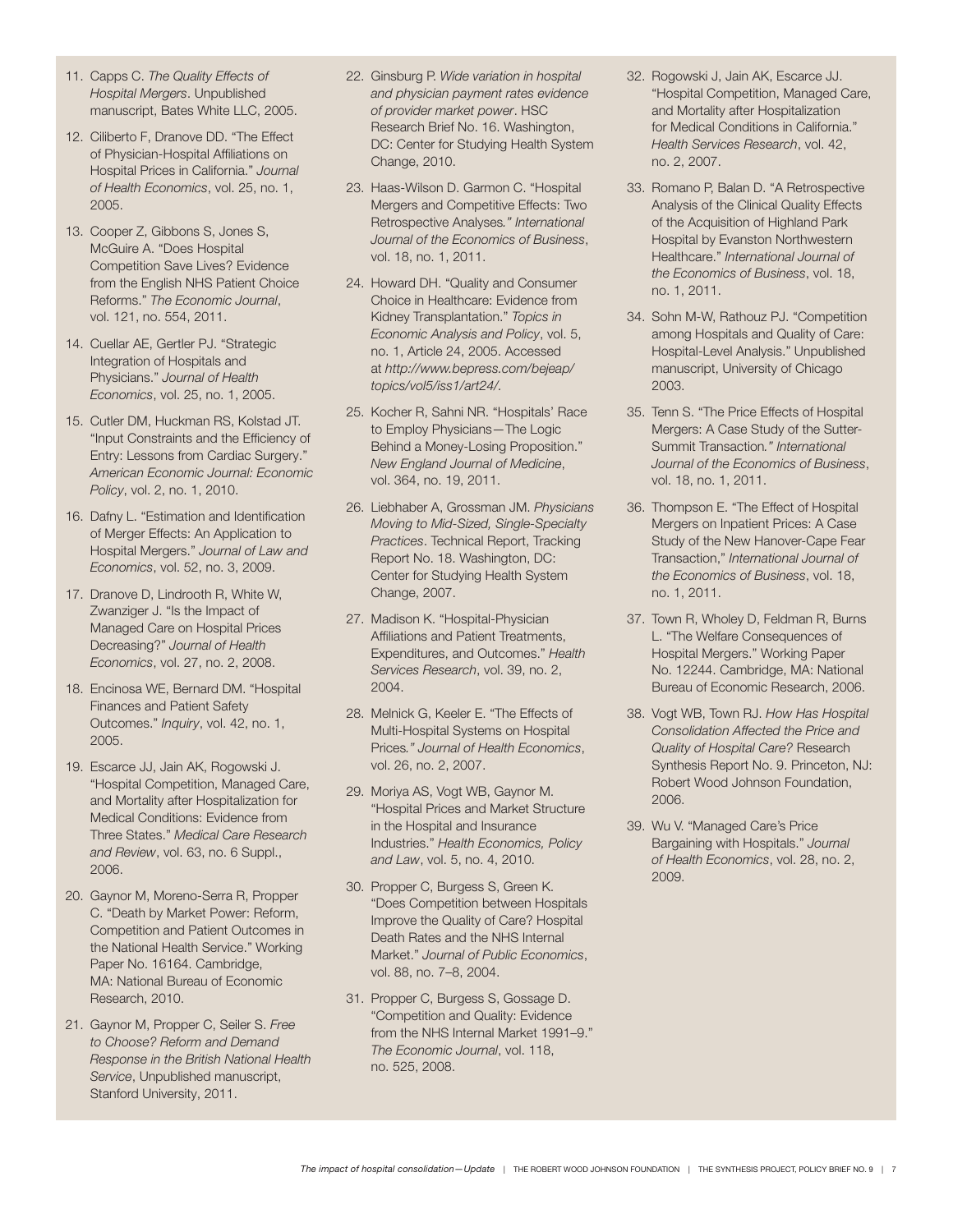- 11. Capps C. The Quality Effects of Hospital Mergers. Unpublished manuscript, Bates White LLC, 2005.
- 12. Ciliberto F, Dranove DD. "The Effect of Physician-Hospital Affiliations on Hospital Prices in California." Journal of Health Economics, vol. 25, no. 1, 2005.
- 13. Cooper Z, Gibbons S, Jones S, McGuire A. "Does Hospital Competition Save Lives? Evidence from the English NHS Patient Choice Reforms." The Economic Journal, vol. 121, no. 554, 2011.
- 14. Cuellar AE, Gertler PJ. "Strategic Integration of Hospitals and Physicians." Journal of Health Economics, vol. 25, no. 1, 2005.
- 15. Cutler DM, Huckman RS, Kolstad JT. "Input Constraints and the Efficiency of Entry: Lessons from Cardiac Surgery." American Economic Journal: Economic Policy, vol. 2, no. 1, 2010.
- 16. Dafny L. "Estimation and Identification of Merger Effects: An Application to Hospital Mergers." Journal of Law and Economics, vol. 52, no. 3, 2009.
- 17. Dranove D, Lindrooth R, White W, Zwanziger J. "Is the Impact of Managed Care on Hospital Prices Decreasing?" Journal of Health Economics, vol. 27, no. 2, 2008.
- 18. Encinosa WE, Bernard DM. "Hospital Finances and Patient Safety Outcomes." Inquiry, vol. 42, no. 1, 2005.
- 19. Escarce JJ, Jain AK, Rogowski J. "Hospital Competition, Managed Care, and Mortality after Hospitalization for Medical Conditions: Evidence from Three States." Medical Care Research and Review, vol. 63, no. 6 Suppl., 2006.
- 20. Gaynor M, Moreno-Serra R, Propper C. "Death by Market Power: Reform, Competition and Patient Outcomes in the National Health Service." Working Paper No. 16164. Cambridge, MA: National Bureau of Economic Research, 2010.
- 21. Gaynor M, Propper C, Seiler S. Free to Choose? Reform and Demand Response in the British National Health Service, Unpublished manuscript, Stanford University, 2011.
- 22. Ginsburg P. Wide variation in hospital and physician payment rates evidence of provider market power. HSC Research Brief No. 16. Washington, DC: Center for Studying Health System Change, 2010.
- 23. Haas-Wilson D. Garmon C. "Hospital Mergers and Competitive Effects: Two Retrospective Analyses." International Journal of the Economics of Business, vol. 18, no. 1, 2011.
- 24. Howard DH. "Quality and Consumer Choice in Healthcare: Evidence from Kidney Transplantation." Topics in Economic Analysis and Policy, vol. 5, no. 1, Article 24, 2005. Accessed at http://www.bepress.com/bejeap/ topics/vol5/iss1/art24/.
- 25. Kocher R, Sahni NR. "Hospitals' Race to Employ Physicians—The Logic Behind a Money-Losing Proposition." New England Journal of Medicine, vol. 364, no. 19, 2011.
- 26. Liebhaber A, Grossman JM. Physicians Moving to Mid-Sized, Single-Specialty Practices. Technical Report, Tracking Report No. 18. Washington, DC: Center for Studying Health System Change, 2007.
- 27. Madison K. "Hospital-Physician Affiliations and Patient Treatments, Expenditures, and Outcomes." Health Services Research, vol. 39, no. 2, 2004.
- 28. Melnick G, Keeler E. "The Effects of Multi-Hospital Systems on Hospital Prices." Journal of Health Economics, vol. 26, no. 2, 2007.
- 29. Moriya AS, Vogt WB, Gaynor M. "Hospital Prices and Market Structure in the Hospital and Insurance Industries." Health Economics, Policy and Law, vol. 5, no. 4, 2010.
- 30. Propper C, Burgess S, Green K. "Does Competition between Hospitals Improve the Quality of Care? Hospital Death Rates and the NHS Internal Market." Journal of Public Economics, vol. 88, no. 7–8, 2004.
- 31. Propper C, Burgess S, Gossage D. "Competition and Quality: Evidence from the NHS Internal Market 1991–9." The Economic Journal, vol. 118, no. 525, 2008.
- 32. Rogowski J, Jain AK, Escarce JJ. "Hospital Competition, Managed Care, and Mortality after Hospitalization for Medical Conditions in California." Health Services Research, vol. 42, no. 2, 2007.
- 33. Romano P, Balan D. "A Retrospective Analysis of the Clinical Quality Effects of the Acquisition of Highland Park Hospital by Evanston Northwestern Healthcare." International Journal of the Economics of Business, vol. 18, no. 1, 2011.
- 34. Sohn M-W, Rathouz PJ. "Competition among Hospitals and Quality of Care: Hospital-Level Analysis." Unpublished manuscript, University of Chicago 2003.
- 35. Tenn S. "The Price Effects of Hospital Mergers: A Case Study of the Sutter-Summit Transaction." International Journal of the Economics of Business, vol. 18, no. 1, 2011.
- 36. Thompson E. "The Effect of Hospital Mergers on Inpatient Prices: A Case Study of the New Hanover-Cape Fear Transaction," International Journal of the Economics of Business, vol. 18, no. 1, 2011.
- 37. Town R, Wholey D, Feldman R, Burns L. "The Welfare Consequences of Hospital Mergers." Working Paper No. 12244. Cambridge, MA: National Bureau of Economic Research, 2006.
- 38. Vogt WB, Town RJ. How Has Hospital Consolidation Affected the Price and Quality of Hospital Care? Research Synthesis Report No. 9. Princeton, NJ: Robert Wood Johnson Foundation, 2006.
- 39. Wu V. "Managed Care's Price Bargaining with Hospitals." Journal of Health Economics, vol. 28, no. 2, 2009.